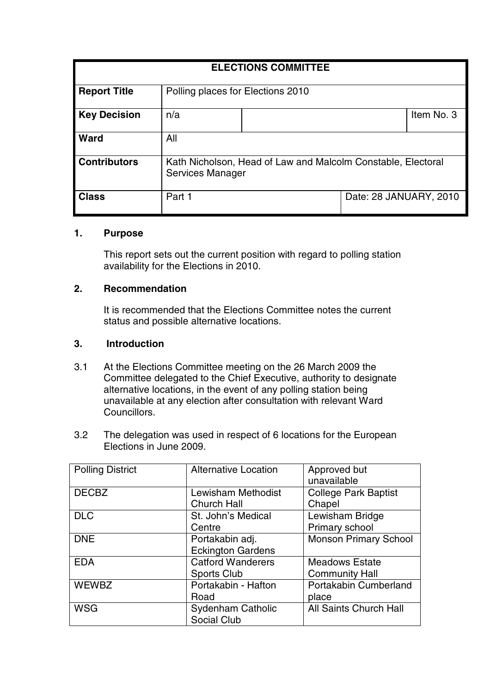| <b>ELECTIONS COMMITTEE</b> |                                                                                  |  |                        |            |  |
|----------------------------|----------------------------------------------------------------------------------|--|------------------------|------------|--|
| <b>Report Title</b>        | Polling places for Elections 2010                                                |  |                        |            |  |
| <b>Key Decision</b>        | n/a                                                                              |  |                        | Item No. 3 |  |
| <b>Ward</b>                | All                                                                              |  |                        |            |  |
| <b>Contributors</b>        | Kath Nicholson, Head of Law and Malcolm Constable, Electoral<br>Services Manager |  |                        |            |  |
| <b>Class</b>               | Part 1                                                                           |  | Date: 28 JANUARY, 2010 |            |  |

# **1. Purpose**

This report sets out the current position with regard to polling station availability for the Elections in 2010.

#### **2. Recommendation**

It is recommended that the Elections Committee notes the current status and possible alternative locations.

#### **3. Introduction**

- 3.1 At the Elections Committee meeting on the 26 March 2009 the Committee delegated to the Chief Executive, authority to designate alternative locations, in the event of any polling station being unavailable at any election after consultation with relevant Ward Councillors.
- 3.2 The delegation was used in respect of 6 locations for the European Elections in June 2009.

| <b>Polling District</b> | <b>Alternative Location</b>                    | Approved but<br>unavailable                    |
|-------------------------|------------------------------------------------|------------------------------------------------|
| <b>DECBZ</b>            | Lewisham Methodist<br><b>Church Hall</b>       | <b>College Park Baptist</b><br>Chapel          |
| <b>DLC</b>              | St. John's Medical<br>Centre                   | Lewisham Bridge<br>Primary school              |
| <b>DNE</b>              | Portakabin adj.<br><b>Eckington Gardens</b>    | <b>Monson Primary School</b>                   |
| <b>EDA</b>              | <b>Catford Wanderers</b><br><b>Sports Club</b> | <b>Meadows Estate</b><br><b>Community Hall</b> |
| <b>WEWBZ</b>            | Portakabin - Hafton<br>Road                    | Portakabin Cumberland<br>place                 |
| <b>WSG</b>              | <b>Sydenham Catholic</b><br><b>Social Club</b> | All Saints Church Hall                         |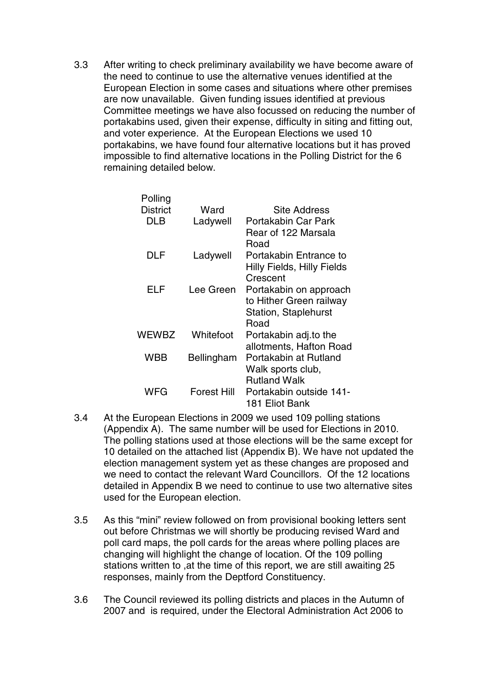3.3 After writing to check preliminary availability we have become aware of the need to continue to use the alternative venues identified at the European Election in some cases and situations where other premises are now unavailable. Given funding issues identified at previous Committee meetings we have also focussed on reducing the number of portakabins used, given their expense, difficulty in siting and fitting out, and voter experience. At the European Elections we used 10 portakabins, we have found four alternative locations but it has proved impossible to find alternative locations in the Polling District for the 6 remaining detailed below.

| Polling         |                    |                                   |
|-----------------|--------------------|-----------------------------------|
| <b>District</b> | Ward               | <b>Site Address</b>               |
| DLB             | Ladywell           | Portakabin Car Park               |
|                 |                    | Rear of 122 Marsala               |
|                 |                    | Road                              |
| DLF             | Ladywell           | Portakabin Entrance to            |
|                 |                    | <b>Hilly Fields, Hilly Fields</b> |
|                 |                    | Crescent                          |
| ELF             | Lee Green          | Portakabin on approach            |
|                 |                    | to Hither Green railway           |
|                 |                    | <b>Station, Staplehurst</b>       |
|                 |                    | Road                              |
| WEWBZ           | Whitefoot          | Portakabin adj.to the             |
|                 |                    | allotments, Hafton Road           |
| WBB             | Bellingham         | Portakabin at Rutland             |
|                 |                    | Walk sports club,                 |
|                 |                    | <b>Rutland Walk</b>               |
| WFG             | <b>Forest Hill</b> | Portakabin outside 141-           |
|                 |                    | 181 Eliot Bank                    |

- 3.4 At the European Elections in 2009 we used 109 polling stations (Appendix A). The same number will be used for Elections in 2010. The polling stations used at those elections will be the same except for 10 detailed on the attached list (Appendix B). We have not updated the election management system yet as these changes are proposed and we need to contact the relevant Ward Councillors. Of the 12 locations detailed in Appendix B we need to continue to use two alternative sites used for the European election.
- 3.5 As this "mini" review followed on from provisional booking letters sent out before Christmas we will shortly be producing revised Ward and poll card maps, the poll cards for the areas where polling places are changing will highlight the change of location. Of the 109 polling stations written to ,at the time of this report, we are still awaiting 25 responses, mainly from the Deptford Constituency.
- 3.6 The Council reviewed its polling districts and places in the Autumn of 2007 and is required, under the Electoral Administration Act 2006 to